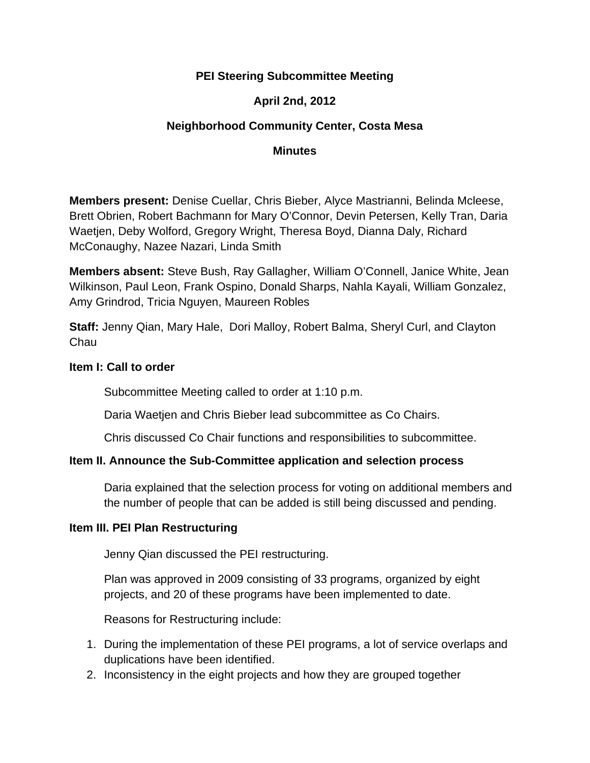## **PEI Steering Subcommittee Meeting**

## **April 2nd, 2012**

## **Neighborhood Community Center, Costa Mesa**

#### **Minutes**

**Members present:** Denise Cuellar, Chris Bieber, Alyce Mastrianni, Belinda Mcleese, Brett Obrien, Robert Bachmann for Mary O'Connor, Devin Petersen, Kelly Tran, Daria Waetjen, Deby Wolford, Gregory Wright, Theresa Boyd, Dianna Daly, Richard McConaughy, Nazee Nazari, Linda Smith

**Members absent:** Steve Bush, Ray Gallagher, William O'Connell, Janice White, Jean Wilkinson, Paul Leon, Frank Ospino, Donald Sharps, Nahla Kayali, William Gonzalez, Amy Grindrod, Tricia Nguyen, Maureen Robles

**Staff:** Jenny Qian, Mary Hale, Dori Malloy, Robert Balma, Sheryl Curl, and Clayton Chau

### **Item I: Call to order**

Subcommittee Meeting called to order at 1:10 p.m.

Daria Waetjen and Chris Bieber lead subcommittee as Co Chairs.

Chris discussed Co Chair functions and responsibilities to subcommittee.

### **Item II. Announce the Sub-Committee application and selection process**

Daria explained that the selection process for voting on additional members and the number of people that can be added is still being discussed and pending.

### **Item III. PEI Plan Restructuring**

Jenny Qian discussed the PEI restructuring.

Plan was approved in 2009 consisting of 33 programs, organized by eight projects, and 20 of these programs have been implemented to date.

Reasons for Restructuring include:

- 1. During the implementation of these PEI programs, a lot of service overlaps and duplications have been identified.
- 2. Inconsistency in the eight projects and how they are grouped together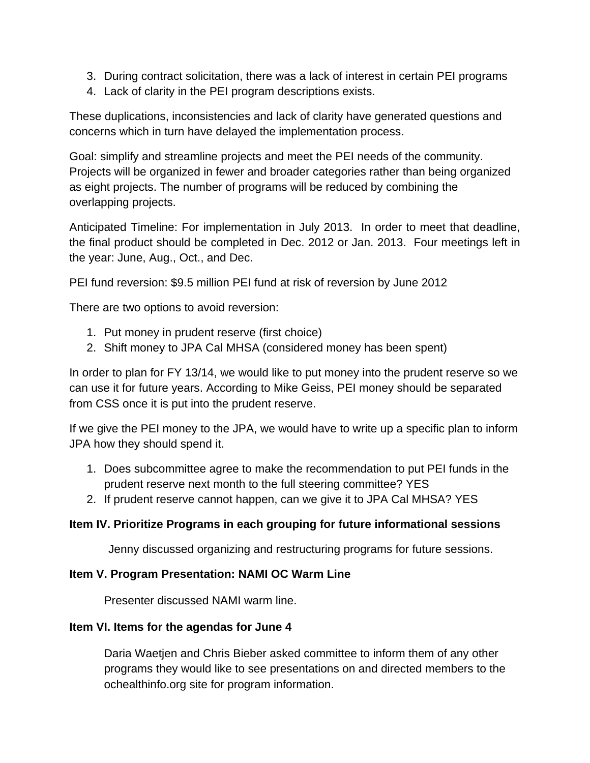- 3. During contract solicitation, there was a lack of interest in certain PEI programs
- 4. Lack of clarity in the PEI program descriptions exists.

These duplications, inconsistencies and lack of clarity have generated questions and concerns which in turn have delayed the implementation process.

Goal: simplify and streamline projects and meet the PEI needs of the community. Projects will be organized in fewer and broader categories rather than being organized as eight projects. The number of programs will be reduced by combining the overlapping projects.

Anticipated Timeline: For implementation in July 2013. In order to meet that deadline, the final product should be completed in Dec. 2012 or Jan. 2013. Four meetings left in the year: June, Aug., Oct., and Dec.

PEI fund reversion: \$9.5 million PEI fund at risk of reversion by June 2012

There are two options to avoid reversion:

- 1. Put money in prudent reserve (first choice)
- 2. Shift money to JPA Cal MHSA (considered money has been spent)

In order to plan for FY 13/14, we would like to put money into the prudent reserve so we can use it for future years. According to Mike Geiss, PEI money should be separated from CSS once it is put into the prudent reserve.

If we give the PEI money to the JPA, we would have to write up a specific plan to inform JPA how they should spend it.

- 1. Does subcommittee agree to make the recommendation to put PEI funds in the prudent reserve next month to the full steering committee? YES
- 2. If prudent reserve cannot happen, can we give it to JPA Cal MHSA? YES

## **Item IV. Prioritize Programs in each grouping for future informational sessions**

Jenny discussed organizing and restructuring programs for future sessions.

### **Item V. Program Presentation: NAMI OC Warm Line**

Presenter discussed NAMI warm line.

### **Item VI. Items for the agendas for June 4**

Daria Waetjen and Chris Bieber asked committee to inform them of any other programs they would like to see presentations on and directed members to the ochealthinfo.org site for program information.